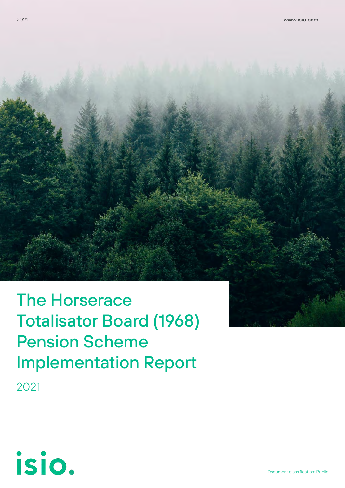The Horserace Totalisator Board (1968) Pension Scheme Implementation Report 2021

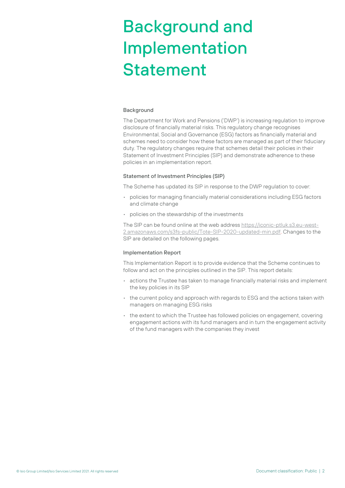# Background and Implementation Statement

#### Background

The Department for Work and Pensions ('DWP') is increasing regulation to improve disclosure of financially material risks. This regulatory change recognises Environmental, Social and Governance (ESG) factors as financially material and schemes need to consider how these factors are managed as part of their fiduciary duty. The regulatory changes require that schemes detail their policies in their Statement of Investment Principles (SIP) and demonstrate adherence to these policies in an implementation report.

#### Statement of Investment Principles (SIP)

The Scheme has updated its SIP in response to the DWP regulation to cover:

- policies for managing financially material considerations including ESG factors and climate change
- policies on the stewardship of the investments

The SIP can be found online at the web addres[s https://iconic-ptluk.s3.eu-west-](https://iconic-ptluk.s3.eu-west-2.amazonaws.com/s3fs-public/Tote-SIP-2020-updated-min.pdf)[2.amazonaws.com/s3fs-public/Tote-SIP-2020-updated-min.pdf.](https://iconic-ptluk.s3.eu-west-2.amazonaws.com/s3fs-public/Tote-SIP-2020-updated-min.pdf) Changes to the SIP are detailed on the following pages.

#### Implementation Report

This Implementation Report is to provide evidence that the Scheme continues to follow and act on the principles outlined in the SIP. This report details:

- actions the Trustee has taken to manage financially material risks and implement the key policies in its SIP
- the current policy and approach with regards to ESG and the actions taken with managers on managing ESG risks
- the extent to which the Trustee has followed policies on engagement, covering engagement actions with its fund managers and in turn the engagement activity of the fund managers with the companies they invest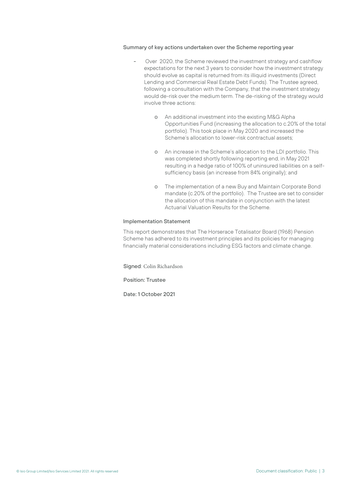#### Summary of key actions undertaken over the Scheme reporting year

- Over 2020, the Scheme reviewed the investment strategy and cashflow expectations for the next 3 years to consider how the investment strategy should evolve as capital is returned from its illiquid investments (Direct Lending and Commercial Real Estate Debt Funds). The Trustee agreed, following a consultation with the Company, that the investment strategy would de-risk over the medium term. The de-risking of the strategy would involve three actions:
	- o An additional investment into the existing M&G Alpha Opportunities Fund (increasing the allocation to c.20% of the total portfolio). This took place in May 2020 and increased the Scheme's allocation to lower-risk contractual assets;
	- o An increase in the Scheme's allocation to the LDI portfolio. This was completed shortly following reporting end, in May 2021 resulting in a hedge ratio of 100% of uninsured liabilities on a selfsufficiency basis (an increase from 84% originally); and
	- o The implementation of a new Buy and Maintain Corporate Bond mandate (c.20% of the portfolio). The Trustee are set to consider the allocation of this mandate in conjunction with the latest Actuarial Valuation Results for the Scheme.

#### Implementation Statement

This report demonstrates that The Horserace Totalisator Board (1968) Pension Scheme has adhered to its investment principles and its policies for managing financially material considerations including ESG factors and climate change.

Signed: Colin Richardson

Position: Trustee

Date: 1 October 2021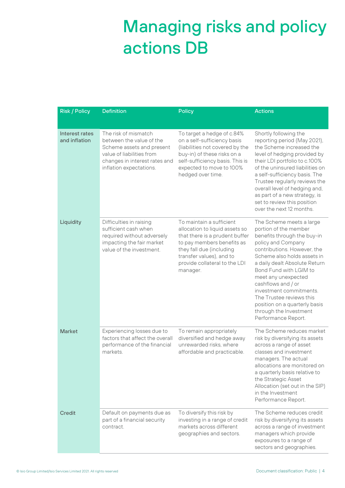## Managing risks and policy actions DB

| <b>Risk / Policy</b>            | <b>Definition</b>                                                                                                                                                      | <b>Policy</b>                                                                                                                                                                                                                   | <b>Actions</b>                                                                                                                                                                                                                                                                                                                                                                                                        |
|---------------------------------|------------------------------------------------------------------------------------------------------------------------------------------------------------------------|---------------------------------------------------------------------------------------------------------------------------------------------------------------------------------------------------------------------------------|-----------------------------------------------------------------------------------------------------------------------------------------------------------------------------------------------------------------------------------------------------------------------------------------------------------------------------------------------------------------------------------------------------------------------|
| Interest rates<br>and inflation | The risk of mismatch<br>between the value of the<br>Scheme assets and present<br>value of liabilities from<br>changes in interest rates and<br>inflation expectations. | To target a hedge of c.84%<br>on a self-sufficiency basis<br>(liabilities not covered by the<br>buy-in) of these risks on a<br>self-sufficiency basis. This is<br>expected to move to 100%<br>hedged over time.                 | Shortly following the<br>reporting period (May 2021),<br>the Scheme increased the<br>level of hedging provided by<br>their LDI portfolio to c.100%<br>of the uninsured liabilities on<br>a self-sufficiency basis. The<br>Trustee regularly reviews the<br>overall level of hedging and,<br>as part of a new strategy, is<br>set to review this position<br>over the next 12 months.                                  |
| Liquidity                       | Difficulties in raising<br>sufficient cash when<br>required without adversely<br>impacting the fair market<br>value of the investment.                                 | To maintain a sufficient<br>allocation to liquid assets so<br>that there is a prudent buffer<br>to pay members benefits as<br>they fall due (including<br>transfer values), and to<br>provide collateral to the LDI<br>manager. | The Scheme meets a large<br>portion of the member<br>benefits through the buy-in<br>policy and Company<br>contributions. However, the<br>Scheme also holds assets in<br>a daily dealt Absolute Return<br>Bond Fund with LGIM to<br>meet any unexpected<br>cashflows and / or<br>investment commitments.<br>The Trustee reviews this<br>position on a quarterly basis<br>through the Investment<br>Performance Report. |
| <b>Market</b>                   | Experiencing losses due to<br>factors that affect the overall<br>performance of the financial<br>markets.                                                              | To remain appropriately<br>diversified and hedge away<br>unrewarded risks, where<br>affordable and practicable.                                                                                                                 | The Scheme reduces market<br>risk by diversifying its assets<br>across a range of asset<br>classes and investment<br>managers. The actual<br>allocations are monitored on<br>a quarterly basis relative to<br>the Strategic Asset<br>Allocation (set out in the SIP)<br>in the Investment<br>Performance Report.                                                                                                      |
| Credit                          | Default on payments due as<br>part of a financial security<br>contract.                                                                                                | To diversify this risk by<br>investing in a range of credit<br>markets across different<br>geographies and sectors.                                                                                                             | The Scheme reduces credit<br>risk by diversifying its assets<br>across a range of investment<br>managers which provide<br>exposures to a range of<br>sectors and geographies.                                                                                                                                                                                                                                         |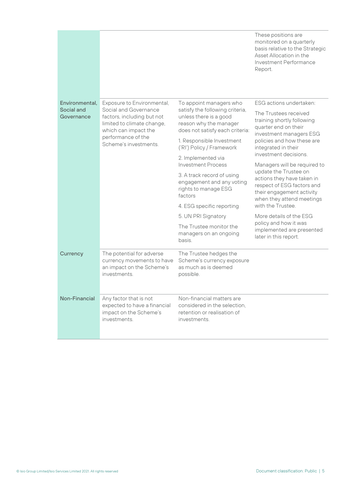|                          |                                                                                                                                                         |                                                                                                                        | These positions are<br>monitored on a quarterly<br>basis relative to the Strategic<br>Asset Allocation in the<br>Investment Performance<br>Report.                                                                                                                                                                                                                                       |
|--------------------------|---------------------------------------------------------------------------------------------------------------------------------------------------------|------------------------------------------------------------------------------------------------------------------------|------------------------------------------------------------------------------------------------------------------------------------------------------------------------------------------------------------------------------------------------------------------------------------------------------------------------------------------------------------------------------------------|
| Environmental.           | Exposure to Environmental,                                                                                                                              | To appoint managers who                                                                                                | ESG actions undertaken:                                                                                                                                                                                                                                                                                                                                                                  |
| Social and<br>Governance | Social and Governance<br>factors, including but not<br>limited to climate change,<br>which can impact the<br>performance of the<br>Scheme's investments | satisfy the following criteria,<br>unless there is a good<br>reason why the manager<br>does not satisfy each criteria: | The Trustees received<br>training shortly following<br>quarter end on their<br>investment managers ESG<br>policies and how these are<br>integrated in their<br>investment decisions.<br>Managers will be required to<br>update the Trustee on<br>actions they have taken in<br>respect of ESG factors and<br>their engagement activity<br>when they attend meetings<br>with the Trustee. |
|                          |                                                                                                                                                         | 1. Responsible Investment<br>('RI') Policy / Framework                                                                 |                                                                                                                                                                                                                                                                                                                                                                                          |
|                          |                                                                                                                                                         | 2. Implemented via<br><b>Investment Process</b>                                                                        |                                                                                                                                                                                                                                                                                                                                                                                          |
|                          |                                                                                                                                                         | 3. A track record of using<br>engagement and any voting<br>rights to manage ESG<br>factors                             |                                                                                                                                                                                                                                                                                                                                                                                          |
|                          |                                                                                                                                                         | 4. ESG specific reporting                                                                                              |                                                                                                                                                                                                                                                                                                                                                                                          |
|                          |                                                                                                                                                         | 5. UN PRI Signatory                                                                                                    | More details of the ESG                                                                                                                                                                                                                                                                                                                                                                  |
|                          |                                                                                                                                                         | The Trustee monitor the<br>managers on an ongoing<br>basis.                                                            | policy and how it was<br>implemented are presented<br>later in this report.                                                                                                                                                                                                                                                                                                              |
| Currency                 | The potential for adverse<br>currency movements to have<br>an impact on the Scheme's<br><i>investments</i>                                              | The Trustee hedges the<br>Scheme's currency exposure<br>as much as is deemed<br>possible.                              |                                                                                                                                                                                                                                                                                                                                                                                          |
| Non-Financial            | Any factor that is not<br>expected to have a financial<br>impact on the Scheme's<br>investments.                                                        | Non-financial matters are<br>considered in the selection.<br>retention or realisation of<br>investments.               |                                                                                                                                                                                                                                                                                                                                                                                          |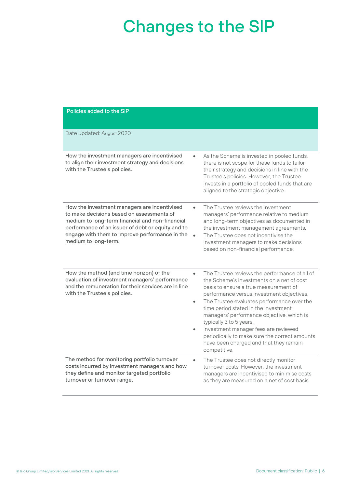## Changes to the SIP

#### Policies added to the SIP

| Date updated: August 2020                                                                                                                                                                                                                                                                             |                                                                                                                                                                                                                                                                                                                                                                                                                                                                                                   |
|-------------------------------------------------------------------------------------------------------------------------------------------------------------------------------------------------------------------------------------------------------------------------------------------------------|---------------------------------------------------------------------------------------------------------------------------------------------------------------------------------------------------------------------------------------------------------------------------------------------------------------------------------------------------------------------------------------------------------------------------------------------------------------------------------------------------|
| How the investment managers are incentivised<br>$\bullet$<br>to align their investment strategy and decisions<br>with the Trustee's policies.                                                                                                                                                         | As the Scheme is invested in pooled funds,<br>there is not scope for these funds to tailor<br>their strategy and decisions in line with the<br>Trustee's policies. However, the Trustee<br>invests in a portfolio of pooled funds that are<br>aligned to the strategic objective.                                                                                                                                                                                                                 |
| How the investment managers are incentivised<br>$\bullet$<br>to make decisions based on assessments of<br>medium to long-term financial and non-financial<br>performance of an issuer of debt or equity and to<br>engage with them to improve performance in the<br>$\bullet$<br>medium to long-term. | The Trustee reviews the investment<br>managers' performance relative to medium<br>and long-term objectives as documented in<br>the investment management agreements.<br>The Trustee does not incentivise the<br>investment managers to make decisions<br>based on non-financial performance.                                                                                                                                                                                                      |
| How the method (and time horizon) of the<br>$\bullet$<br>evaluation of investment managers' performance<br>and the remuneration for their services are in line<br>with the Trustee's policies.<br>$\bullet$                                                                                           | The Trustee reviews the performance of all of<br>the Scheme's investments on a net of cost<br>basis to ensure a true measurement of<br>performance versus investment objectives.<br>The Trustee evaluates performance over the<br>time period stated in the investment<br>managers' performance objective, which is<br>typically 3 to 5 years.<br>Investment manager fees are reviewed<br>periodically to make sure the correct amounts<br>have been charged and that they remain<br>competitive. |
| The method for monitoring portfolio turnover<br>$\bullet$<br>costs incurred by investment managers and how<br>they define and monitor targeted portfolio<br>turnover or turnover range.                                                                                                               | The Trustee does not directly monitor<br>turnover costs. However, the investment<br>managers are incentivised to minimise costs<br>as they are measured on a net of cost basis.                                                                                                                                                                                                                                                                                                                   |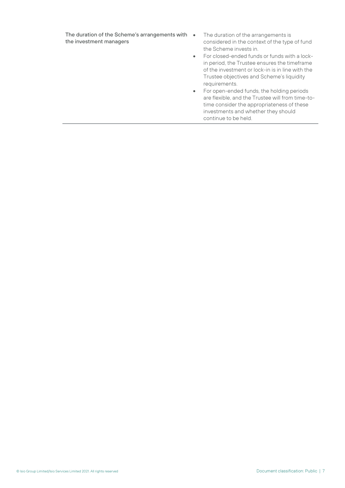The duration of the Scheme's arrangements with • the investment managers

- The duration of the arrangements is considered in the context of the type of fund the Scheme invests in.
- For closed-ended funds or funds with a lockin period, the Trustee ensures the timeframe of the investment or lock-in is in line with the Trustee objectives and Scheme's liquidity requirements.
- For open-ended funds, the holding periods are flexible, and the Trustee will from time-totime consider the appropriateness of these investments and whether they should continue to be held.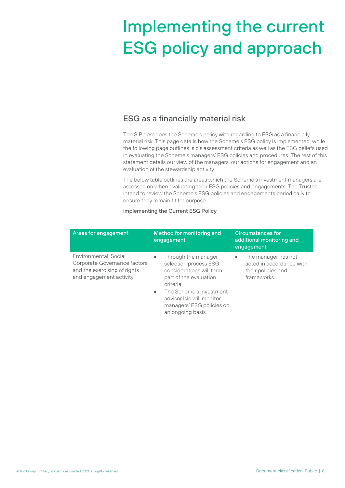# Implementing the current ESG policy and approach

### ESG as a financially material risk

The SIP describes the Scheme's policy with regarding to ESG as a financially material risk. This page details how the Scheme's ESG policy is implemented, while the following page outlines Isio's assessment criteria as well as the ESG beliefs used in evaluating the Scheme's managers' ESG policies and procedures. The rest of this statement details our view of the managers, our actions for engagement and an evaluation of the stewardship activity.

The below table outlines the areas which the Scheme's investment managers are assessed on when evaluating their ESG policies and engagements. The Trustee intend to review the Scheme's ESG policies and engagements periodically to ensure they remain fit for purpose.

| Areas for engagement                                                                                              | Method for monitoring and<br>engagement                                                                                                                                                                                               | <b>Circumstances for</b><br>additional monitoring and<br>engagement                  |
|-------------------------------------------------------------------------------------------------------------------|---------------------------------------------------------------------------------------------------------------------------------------------------------------------------------------------------------------------------------------|--------------------------------------------------------------------------------------|
| Environmental, Social,<br>Corporate Governance factors<br>and the exercising of rights<br>and engagement activity | Through the manager<br>selection process ESG<br>considerations will form<br>part of the evaluation<br>criteria<br>The Scheme's investment<br>$\bullet$<br>advisor Isio will monitor<br>managers' ESG policies on<br>an ongoing basis. | The manager has not<br>acted in accordance with<br>their policies and<br>frameworks. |

#### Implementing the Current ESG Policy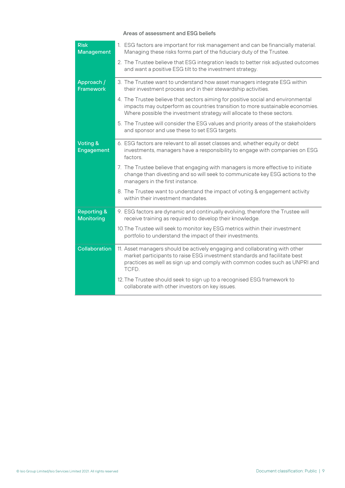#### Areas of assessment and ESG beliefs

| <b>Risk</b><br><b>Management</b>            | 1. ESG factors are important for risk management and can be financially material.<br>Managing these risks forms part of the fiduciary duty of the Trustee.                                                                                       |
|---------------------------------------------|--------------------------------------------------------------------------------------------------------------------------------------------------------------------------------------------------------------------------------------------------|
|                                             | 2. The Trustee believe that ESG integration leads to better risk adjusted outcomes<br>and want a positive ESG tilt to the investment strategy.                                                                                                   |
| Approach /<br><b>Framework</b>              | 3. The Trustee want to understand how asset managers integrate ESG within<br>their investment process and in their stewardship activities.                                                                                                       |
|                                             | 4. The Trustee believe that sectors aiming for positive social and environmental<br>impacts may outperform as countries transition to more sustainable economies.<br>Where possible the investment strategy will allocate to these sectors.      |
|                                             | 5. The Trustee will consider the ESG values and priority areas of the stakeholders<br>and sponsor and use these to set ESG targets.                                                                                                              |
| Voting &<br>Engagement                      | 6. ESG factors are relevant to all asset classes and, whether equity or debt<br>investments, managers have a responsibility to engage with companies on ESG<br>factors.                                                                          |
|                                             | 7. The Trustee believe that engaging with managers is more effective to initiate<br>change than divesting and so will seek to communicate key ESG actions to the<br>managers in the first instance.                                              |
|                                             | 8. The Trustee want to understand the impact of voting & engagement activity<br>within their investment mandates.                                                                                                                                |
| <b>Reporting &amp;</b><br><b>Monitoring</b> | 9. ESG factors are dynamic and continually evolving, therefore the Trustee will<br>receive training as required to develop their knowledge.                                                                                                      |
|                                             | 10. The Trustee will seek to monitor key ESG metrics within their investment<br>portfolio to understand the impact of their investments.                                                                                                         |
| Collaboration                               | 11. Asset managers should be actively engaging and collaborating with other<br>market participants to raise ESG investment standards and facilitate best<br>practices as well as sign up and comply with common codes such as UNPRI and<br>TCFD. |
|                                             | 12. The Trustee should seek to sign up to a recognised ESG framework to<br>collaborate with other investors on key issues.                                                                                                                       |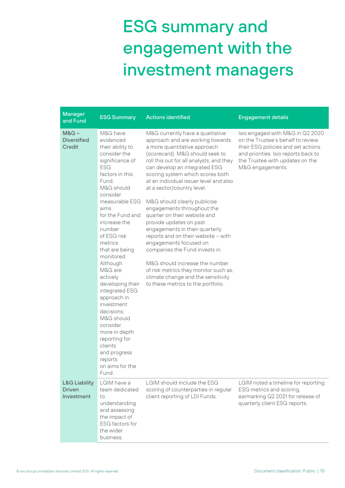# ESG summary and engagement with the investment managers

| <b>Manager</b><br>and Fund                              | <b>ESG Summary</b>                                                                                                                                                                                                                                                                                                                                                                                                                                                                                                                   | <b>Actions identified</b>                                                                                                                                                                                                                                                                                                                                                                                                                                                                                                                                                                                                                                                                                                                             | <b>Engagement details</b>                                                                                                                                                                                  |
|---------------------------------------------------------|--------------------------------------------------------------------------------------------------------------------------------------------------------------------------------------------------------------------------------------------------------------------------------------------------------------------------------------------------------------------------------------------------------------------------------------------------------------------------------------------------------------------------------------|-------------------------------------------------------------------------------------------------------------------------------------------------------------------------------------------------------------------------------------------------------------------------------------------------------------------------------------------------------------------------------------------------------------------------------------------------------------------------------------------------------------------------------------------------------------------------------------------------------------------------------------------------------------------------------------------------------------------------------------------------------|------------------------------------------------------------------------------------------------------------------------------------------------------------------------------------------------------------|
| $M&G-$<br><b>Diversified</b><br>Credit                  | M&G have<br>evidenced<br>their ability to<br>consider the<br>significance of<br><b>ESG</b><br>factors in this<br>Fund.<br>M&G should<br>consider<br>measurable ESG<br>aims<br>for the Fund and<br>increase the<br>number<br>of ESG risk<br>metrics<br>that are being<br>monitored.<br>Although<br>M&G are<br>actively<br>developing their<br>integrated ESG<br>approach in<br>investment<br>decisions.<br>M&G should<br>consider<br>more in depth<br>reporting for<br>clients<br>and progress<br>reports<br>on aims for the<br>Fund. | M&G currently have a qualitative<br>approach and are working towards<br>a more quantitative approach<br>(scorecard). M&G should seek to<br>roll this out for all analysts, and they<br>can develop an integrated ESG<br>scoring system which scores both<br>at an individual issuer level and also<br>at a sector/country level.<br>M&G should clearly publicise<br>engagements throughout the<br>quarter on their website and<br>provide updates on past<br>engagements in their quarterly<br>reports and on their website - with<br>engagements focused on<br>companies the Fund invests in.<br>M&G should increase the number<br>of risk metrics they monitor such as,<br>climate change and the sensitivity<br>to these metrics to the portfolio. | Isio engaged with M&G in Q2 2020<br>on the Trustee's behalf to review<br>their ESG policies and set actions<br>and priorities. Isio reports back to<br>the Trustee with updates on the<br>M&G engagements. |
| <b>L&amp;G Liability</b><br><b>Driven</b><br>Investment | LGIM have a<br>team dedicated<br>to<br>understanding<br>and assessing<br>the impact of<br><b>ESG</b> factors for<br>the wider<br>business.                                                                                                                                                                                                                                                                                                                                                                                           | LGIM should include the ESG<br>scoring of counterparties in regular<br>client reporting of LDI Funds.                                                                                                                                                                                                                                                                                                                                                                                                                                                                                                                                                                                                                                                 | LGIM noted a timeline for reporting<br>ESG metrics and scoring,<br>earmarking Q2 2021 for release of<br>quarterly client ESG reports.                                                                      |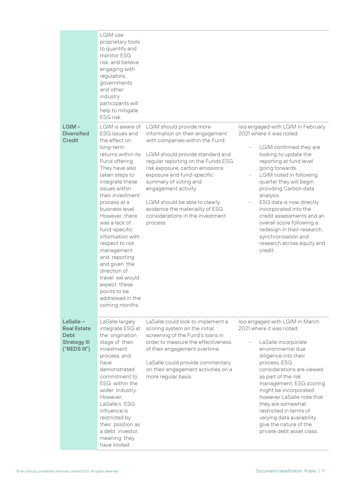|                                                                                | LGIM use<br>proprietary tools<br>to quantify and<br>monitor ESG<br>risk, and believe<br>engaging with<br>regulators,<br>governments<br>and other<br>industry<br>participants will<br>help to mitigate<br>ESG risk.                                                                                                                                                                                                                                                                          |                                                                                                                                                                                                                                                                                                                                                                                                                 |                                                                                                                                                                                                                                                                                                                                                                                                                                                                                                        |
|--------------------------------------------------------------------------------|---------------------------------------------------------------------------------------------------------------------------------------------------------------------------------------------------------------------------------------------------------------------------------------------------------------------------------------------------------------------------------------------------------------------------------------------------------------------------------------------|-----------------------------------------------------------------------------------------------------------------------------------------------------------------------------------------------------------------------------------------------------------------------------------------------------------------------------------------------------------------------------------------------------------------|--------------------------------------------------------------------------------------------------------------------------------------------------------------------------------------------------------------------------------------------------------------------------------------------------------------------------------------------------------------------------------------------------------------------------------------------------------------------------------------------------------|
| $LGIM -$<br><b>Diversified</b><br><b>Credit</b>                                | LGIM is aware of<br>ESG issues and<br>the effect on<br>long-term<br>returns within its<br>Fund offering.<br>They have also<br>taken steps to<br>integrate these<br>issues within<br>their investment<br>process at a<br>business level.<br>However, there<br>was a lack of<br>fund-specific<br>information with<br>respect to risk<br>management<br>and reporting<br>and given the<br>direction of<br>travel we would<br>expect these<br>points to be<br>addressed in the<br>coming months. | LGIM should provide more<br>information on their engagement<br>with companies within the Fund.<br>LGIM should provide standard and<br>regular reporting on the Funds ESG<br>risk exposure, carbon emissions<br>exposure and fund-specific<br>summary of voting and<br>engagement activity.<br>LGIM should be able to clearly<br>evidence the materiality of ESG<br>considerations in the investment<br>process. | Isio engaged with LGIM in February<br>2021 where it was noted:<br>LGIM confirmed they are<br>looking to update the<br>reporting at fund level<br>going forwards.<br>LGIM noted in following<br>quarter they will begin<br>providing Carbon data<br>analysis.<br>ESG data is now directly<br>$\overline{\phantom{0}}$<br>incorporated into the<br>credit assessments and an<br>overall score following a<br>redesign in their research,<br>synchronisation and<br>research across equity and<br>credit. |
| LaSalle -<br><b>Real Estate</b><br>Debt<br><b>Strategy III</b><br>("REDS III") | LaSalle largely<br>integrate ESG at<br>the origination<br>stage of their<br>investment<br>process, and<br>have<br>demonstrated<br>commitment to<br>ESG within the<br>wider industry.<br>However,<br>LaSalle's ESG<br>influence is<br>restricted by<br>their position as<br>a debt investor,<br>meaning they<br>have limited                                                                                                                                                                 | LaSalle could look to implement a<br>scoring system on the initial<br>screening of the Fund's loans in<br>order to measure the effectiveness<br>of their engagement overtime.<br>LaSalle could provide commentary<br>on their engagement activities on a<br>more regular basis.                                                                                                                                 | Isio engaged with LGIM in March<br>2021 where it was noted:<br>LaSalle incorporate<br>environmental due<br>diligence into their<br>process, ESG<br>considerations are viewed<br>as part of the risk<br>management. ESG scoring<br>might be incorporated<br>however LaSalle note that<br>they are somewhat<br>restricted in terms of<br>varying data availability<br>give the nature of the<br>private debt asset class.                                                                                |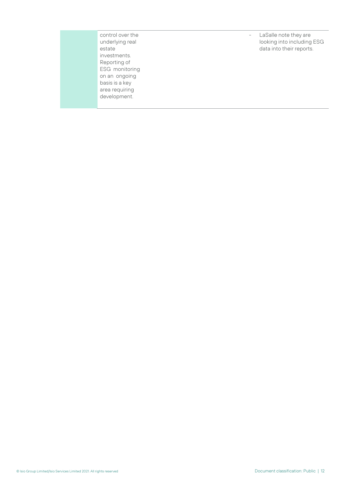control over the underlying real estate investments. Reporting of ESG monitoring on an ongoing basis is a key area requiring development.

- LaSalle note they are looking into including ESG data into their reports.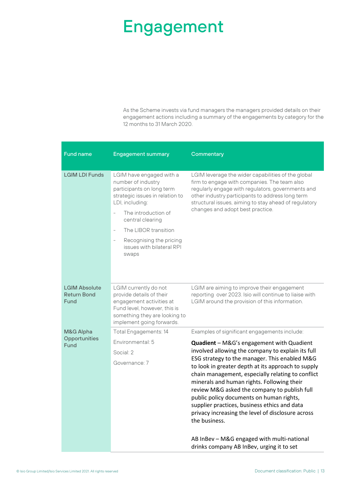### Engagement

As the Scheme invests via fund managers the managers provided details on their engagement actions including a summary of the engagements by category for the 12 months to 31 March 2020.

| <b>Fund name</b>                                   | <b>Engagement summary</b>                                                                                                                                                                                                                                             | Commentary                                                                                                                                                                                                                                                                                                                                                                                                                                                                                                                                                                                                                      |
|----------------------------------------------------|-----------------------------------------------------------------------------------------------------------------------------------------------------------------------------------------------------------------------------------------------------------------------|---------------------------------------------------------------------------------------------------------------------------------------------------------------------------------------------------------------------------------------------------------------------------------------------------------------------------------------------------------------------------------------------------------------------------------------------------------------------------------------------------------------------------------------------------------------------------------------------------------------------------------|
| <b>LGIM LDI Funds</b>                              | LGIM have engaged with a<br>number of industry<br>participants on long term<br>strategic issues in relation to<br>LDI, including:<br>The introduction of<br>central clearing<br>The LIBOR transition<br>Recognising the pricing<br>issues with bilateral RPI<br>swaps | LGIM leverage the wider capabilities of the global<br>firm to engage with companies. The team also<br>regularly engage with regulators, governments and<br>other industry participants to address long term<br>structural issues, aiming to stay ahead of regulatory<br>changes and adopt best practice.                                                                                                                                                                                                                                                                                                                        |
| <b>LGIM Absolute</b><br><b>Return Bond</b><br>Fund | LGIM currently do not<br>provide details of their<br>engagement activities at<br>Fund level, however, this is<br>something they are looking to<br>implement going forwards.                                                                                           | LGIM are aiming to improve their engagement<br>reporting over 2023. Isio will continue to liaise with<br>LGIM around the provision of this information.                                                                                                                                                                                                                                                                                                                                                                                                                                                                         |
| M&G Alpha<br>Opportunities<br>Fund                 | Total Engagements: 14<br>Environmental: 5<br>Social: 2<br>Governance: 7                                                                                                                                                                                               | Examples of significant engagements include:<br><b>Quadient</b> - M&G's engagement with Quadient<br>involved allowing the company to explain its full<br>ESG strategy to the manager. This enabled M&G<br>to look in greater depth at its approach to supply<br>chain management, especially relating to conflict<br>minerals and human rights. Following their<br>review M&G asked the company to publish full<br>public policy documents on human rights,<br>supplier practices, business ethics and data<br>privacy increasing the level of disclosure across<br>the business.<br>AB InBev - M&G engaged with multi-national |
|                                                    |                                                                                                                                                                                                                                                                       | drinks company AB InBev, urging it to set                                                                                                                                                                                                                                                                                                                                                                                                                                                                                                                                                                                       |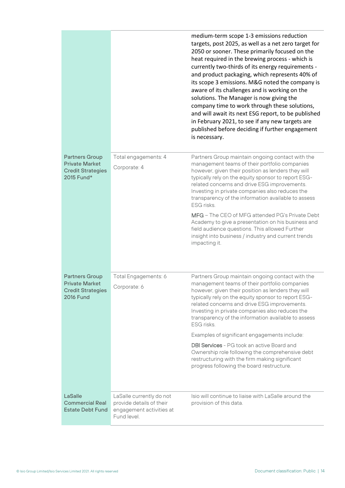|                                                                                                |                                                                                                 | medium-term scope 1-3 emissions reduction<br>targets, post 2025, as well as a net zero target for<br>2050 or sooner. These primarily focused on the<br>heat required in the brewing process - which is<br>currently two-thirds of its energy requirements -<br>and product packaging, which represents 40% of<br>its scope 3 emissions. M&G noted the company is<br>aware of its challenges and is working on the<br>solutions. The Manager is now giving the<br>company time to work through these solutions,<br>and will await its next ESG report, to be published<br>in February 2021, to see if any new targets are<br>published before deciding if further engagement<br>is necessary. |
|------------------------------------------------------------------------------------------------|-------------------------------------------------------------------------------------------------|----------------------------------------------------------------------------------------------------------------------------------------------------------------------------------------------------------------------------------------------------------------------------------------------------------------------------------------------------------------------------------------------------------------------------------------------------------------------------------------------------------------------------------------------------------------------------------------------------------------------------------------------------------------------------------------------|
| <b>Partners Group</b><br><b>Private Market</b><br><b>Credit Strategies</b><br>2015 Fund*       | Total engagements: 4<br>Corporate: 4                                                            | Partners Group maintain ongoing contact with the<br>management teams of their portfolio companies<br>however, given their position as lenders they will<br>typically rely on the equity sponsor to report ESG-<br>related concerns and drive ESG improvements.<br>Investing in private companies also reduces the<br>transparency of the information available to assess<br>ESG risks.                                                                                                                                                                                                                                                                                                       |
|                                                                                                |                                                                                                 | MFG - The CEO of MFG attended PG's Private Debt<br>Academy to give a presentation on his business and<br>field audience questions. This allowed Further<br>insight into business / industry and current trends<br>impacting it.                                                                                                                                                                                                                                                                                                                                                                                                                                                              |
| <b>Partners Group</b><br><b>Private Market</b><br><b>Credit Strategies</b><br><b>2016 Fund</b> | Total Engagements: 6<br>Corporate: 6                                                            | Partners Group maintain ongoing contact with the<br>management teams of their portfolio companies<br>however, given their position as lenders they will<br>typically rely on the equity sponsor to report ESG-<br>related concerns and drive ESG improvements.<br>Investing in private companies also reduces the<br>transparency of the information available to assess<br>ESG risks.                                                                                                                                                                                                                                                                                                       |
|                                                                                                |                                                                                                 | Examples of significant engagements include:                                                                                                                                                                                                                                                                                                                                                                                                                                                                                                                                                                                                                                                 |
|                                                                                                |                                                                                                 | <b>DBI Services</b> - PG took an active Board and<br>Ownership role following the comprehensive debt<br>restructuring with the firm making significant<br>progress following the board restructure.                                                                                                                                                                                                                                                                                                                                                                                                                                                                                          |
| LaSalle<br><b>Commercial Real</b><br><b>Estate Debt Fund</b>                                   | LaSalle currently do not<br>provide details of their<br>engagement activities at<br>Fund level. | Isio will continue to liaise with LaSalle around the<br>provision of this data.                                                                                                                                                                                                                                                                                                                                                                                                                                                                                                                                                                                                              |